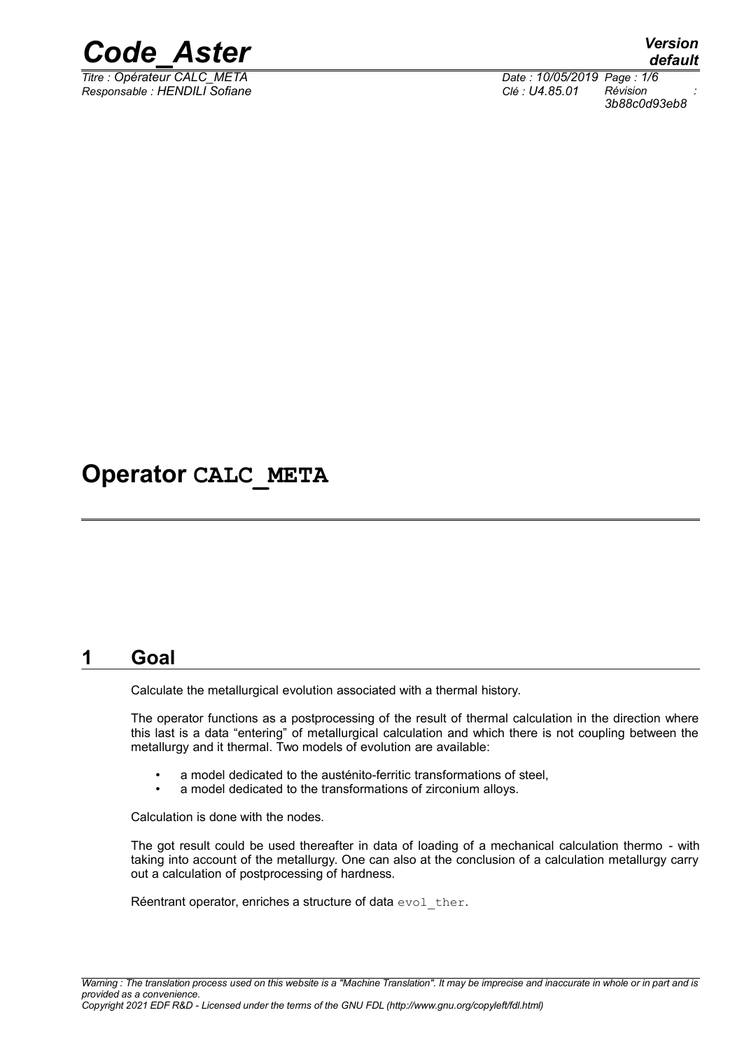

*Responsable : HENDILI Sofiane Clé : U4.85.01 Révision :*

*Titre : Opérateur CALC\_META Date : 10/05/2019 Page : 1/6 3b88c0d93eb8*

# **Operator CALC\_META**

# **1 Goal**

Calculate the metallurgical evolution associated with a thermal history.

The operator functions as a postprocessing of the result of thermal calculation in the direction where this last is a data "entering" of metallurgical calculation and which there is not coupling between the metallurgy and it thermal. Two models of evolution are available:

- a model dedicated to the austénito-ferritic transformations of steel,
- a model dedicated to the transformations of zirconium alloys.

Calculation is done with the nodes.

The got result could be used thereafter in data of loading of a mechanical calculation thermo - with taking into account of the metallurgy. One can also at the conclusion of a calculation metallurgy carry out a calculation of postprocessing of hardness.

Réentrant operator, enriches a structure of data evol ther.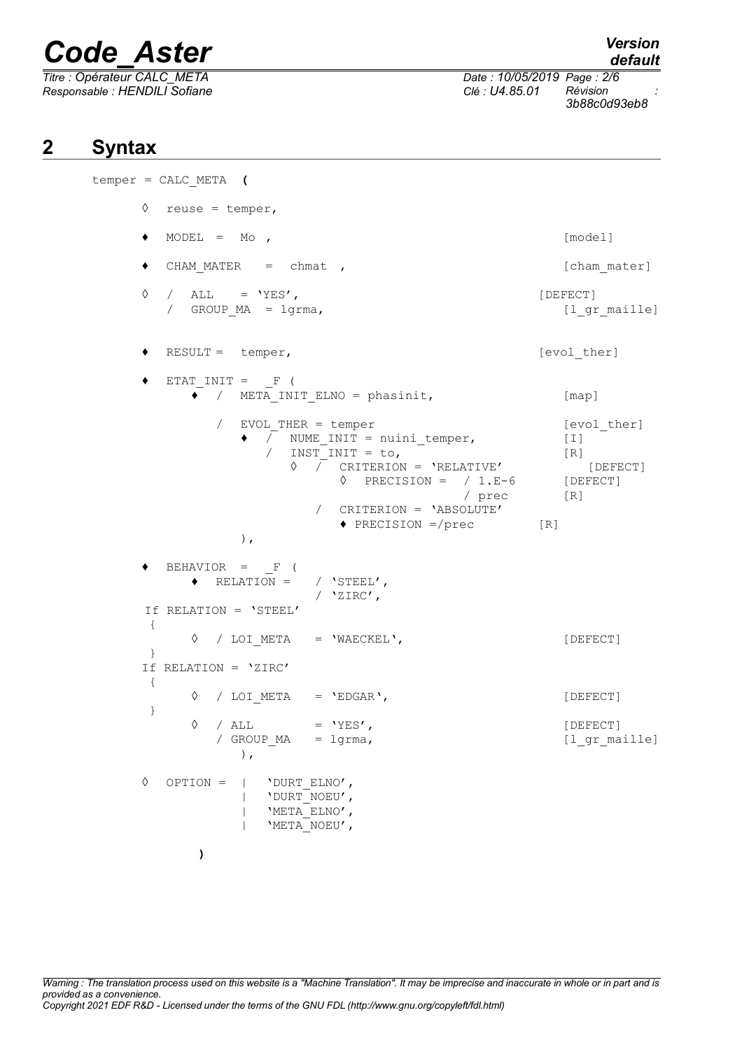*Titre : Opérateur CALC\_META Date : 10/05/2019 Page : 2/6 Responsable : HENDILI Sofiane Clé : U4.85.01 Révision :*

*default*

*3b88c0d93eb8*

# **2 Syntax**

```
temper = CALC_META (
    ◊ reuse = temper,
    ♦ MODEL = Mo , [model] 
    ◆ CHAM_MATER = chmat , let (cham_mater)
    \Diamond / ALL = 'YES',
       / GROUP MA = lgrma, [1 \text{ gr maille}]♦ RESULT = temper, [evol_ther]
    \blacklozenge ETAT INIT = F (
         ♦ / META_INIT_ELNO = phasinit, [map]
            / EVOL THER = temper [evol ther]
              \longrightarrow \overline{}/ NUME INIT = nuini temper, [I]
                 / INT = to, [R]
                   \sqrt{C} CRITERION = 'RELATIVE' [DEFECT]
                        \Diamond PRECISION = / 1.E-6 [DEFECT]
                                    / prec [R]
                      / CRITERION = 'ABSOLUTE'
                        ♦ PRECISION =/prec [R]
              ),
    \blacklozenge BEHAVIOR = F (
         \triangleleft RELATION = / 'STEEL',
                      / 'ZIRC',
      If RELATION = 'STEEL' 
      { 
         ◊ / LOI_META = 'WAECKEL', [DEFECT]
      } 
    If RELATION = 'ZIRC'
      { 
         ◊ / LOI_META = 'EDGAR', [DEFECT]
      } 
         \Diamond / ALL = 'YES', [DEFECT]/ GROUP_MA = lgrma, [l_gr_maille]
              ),
    ◊ OPTION = | 'DURT_ELNO',
              | 'DURT_NOEU',
              | 'META_ELNO',
              | 'META_NOEU',
          )
```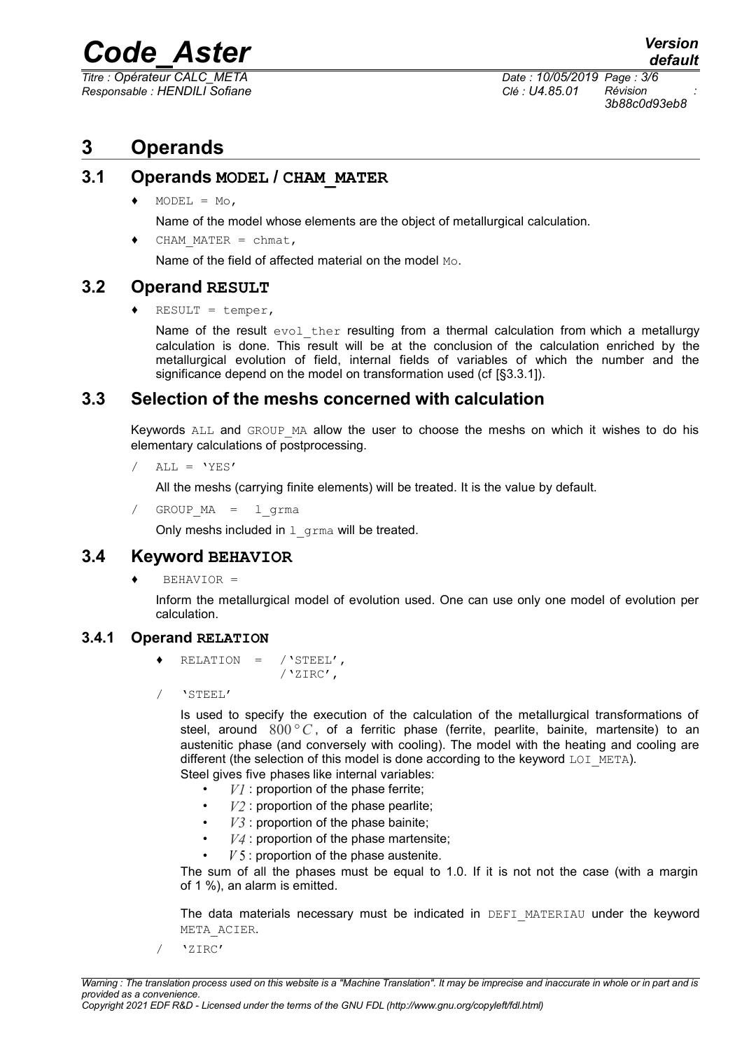*Titre : Opérateur CALC\_META Date : 10/05/2019 Page : 3/6 Responsable : HENDILI Sofiane Clé : U4.85.01 Révision :*

*3b88c0d93eb8*

# **3 Operands**

#### **3.1 Operands MODEL / CHAM\_MATER**

 $\triangleleft$  MODEL = Mo,

Name of the model whose elements are the object of metallurgical calculation.

CHAM MATER = chmat,

Name of the field of affected material on the model Mo.

#### **3.2 Operand RESULT**

 $RESULT = temper,$ 

Name of the result  $evol$  ther resulting from a thermal calculation from which a metallurgy calculation is done. This result will be at the conclusion of the calculation enriched by the metallurgical evolution of field, internal fields of variables of which the number and the significance depend on the model on transformation used (cf [§3.3.1]).

#### **3.3 Selection of the meshs concerned with calculation**

Keywords ALL and GROUP MA allow the user to choose the meshs on which it wishes to do his elementary calculations of postprocessing.

```
/ ALL = 'YES'
```
All the meshs (carrying finite elements) will be treated. It is the value by default.

/ GROUP\_MA = l\_grma

Only meshs included in  $1$  grma will be treated.

#### **3.4 Keyword BEHAVIOR**

 $BEHAVIOR =$ 

Inform the metallurgical model of evolution used. One can use only one model of evolution per calculation.

#### **3.4.1 Operand RELATION**

- RELATION =  $/$  'STEEL', /'ZIRC',
- / 'STEEL'

Is used to specify the execution of the calculation of the metallurgical transformations of steel, around 800°C, of a ferritic phase (ferrite, pearlite, bainite, martensite) to an austenitic phase (and conversely with cooling). The model with the heating and cooling are different (the selection of this model is done according to the keyword  $LOI$  META). Steel gives five phases like internal variables:

- - $VI$  : proportion of the phase ferrite;
	- $V2$ : proportion of the phase pearlite;
	- *V3* : proportion of the phase bainite;
	- *V4* : proportion of the phase martensite;
	- *V* 5 : proportion of the phase austenite.

The sum of all the phases must be equal to 1.0. If it is not not the case (with a margin of 1 %), an alarm is emitted.

The data materials necessary must be indicated in DEFI\_MATERIAU under the keyword META\_ACIER.

/ 'ZIRC'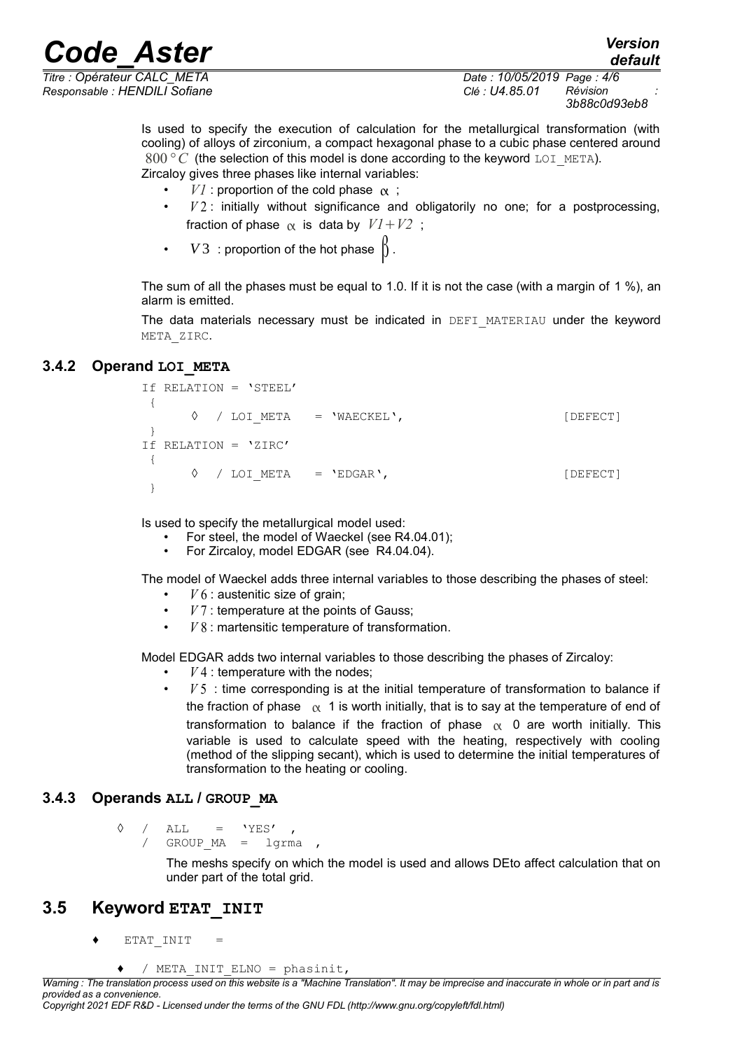*Responsable : HENDILI Sofiane Clé : U4.85.01 Révision :*

*Titre : Opérateur CALC\_META Date : 10/05/2019 Page : 4/6 3b88c0d93eb8*

*default*

Is used to specify the execution of calculation for the metallurgical transformation (with cooling) of alloys of zirconium, a compact hexagonal phase to a cubic phase centered around 800 $\degree$  *C* (the selection of this model is done according to the keyword LOI META). Zircaloy gives three phases like internal variables:

- $VI$  : proportion of the cold phase  $\alpha$ ;
- *V* 2 : initially without significance and obligatorily no one; for a postprocessing, fraction of phase  $\alpha$  is data by  $VI + V2$ ;
- $V3$ : proportion of the hot phase  $\beta$ .

The sum of all the phases must be equal to 1.0. If it is not the case (with a margin of 1 %), an alarm is emitted.

The data materials necessary must be indicated in DEFI\_MATERIAU under the keyword META\_ZIRC.

#### **3.4.2 Operand LOI\_META**

```
If RELATION = 'STEEL'
 { 
     ◊ / LOI_META = 'WAECKEL', [DEFECT]
 } 
If RELATION = 'ZIRC'
 { 
     ◊ / LOI_META = 'EDGAR', [DEFECT]
 }
```
Is used to specify the metallurgical model used:

- For steel, the model of Waeckel (see R4.04.01);
- For Zircaloy, model EDGAR (see R4.04.04).

The model of Waeckel adds three internal variables to those describing the phases of steel:

- $V$  6 : austenitic size of grain;
- *V* 7 : temperature at the points of Gauss;
- *V* 8 : martensitic temperature of transformation.

Model EDGAR adds two internal variables to those describing the phases of Zircaloy:

- $V<sub>4</sub>$ : temperature with the nodes;
- *V* 5 : time corresponding is at the initial temperature of transformation to balance if the fraction of phase  $\alpha$  1 is worth initially, that is to say at the temperature of end of transformation to balance if the fraction of phase  $\alpha$  0 are worth initially. This variable is used to calculate speed with the heating, respectively with cooling (method of the slipping secant), which is used to determine the initial temperatures of transformation to the heating or cooling.

#### **3.4.3 Operands ALL / GROUP\_MA**

 $\Diamond$  / ALL = 'YES', GROUP  $MA = 1$ grma ,

> The meshs specify on which the model is used and allows DEto affect calculation that on under part of the total grid.

#### **3.5 Keyword ETAT\_INIT**

 $ETAT$   $INT$  =

```
/ META INIT ELNO = phasinit,
```
*Copyright 2021 EDF R&D - Licensed under the terms of the GNU FDL (http://www.gnu.org/copyleft/fdl.html)*

*Warning : The translation process used on this website is a "Machine Translation". It may be imprecise and inaccurate in whole or in part and is provided as a convenience.*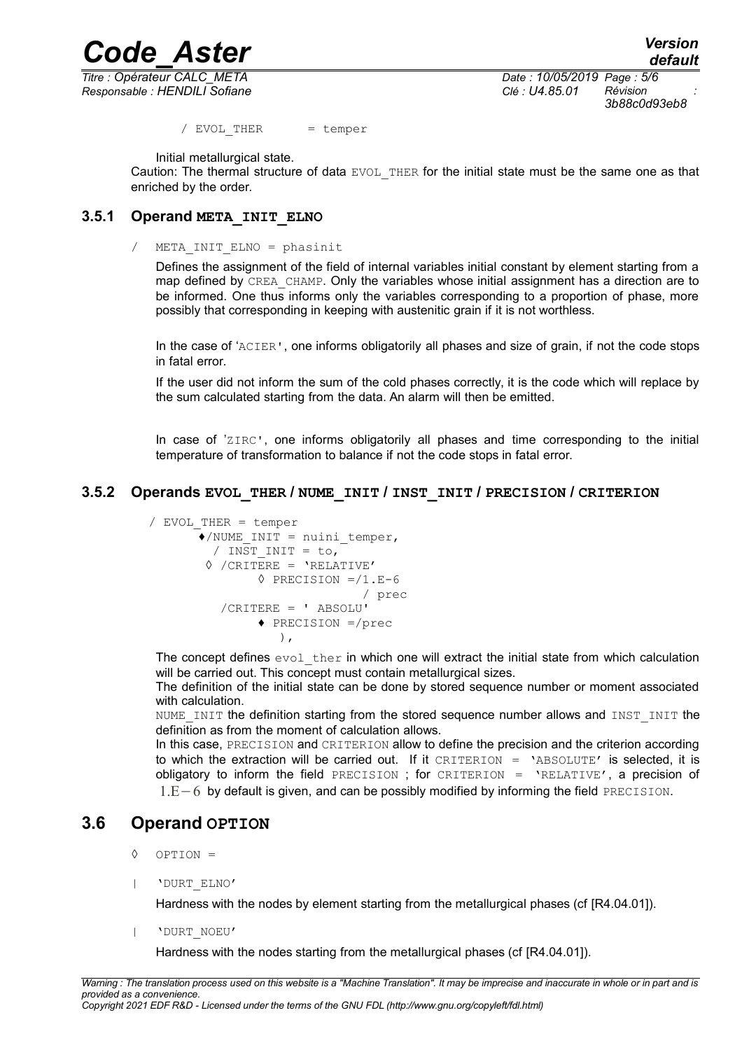*Responsable : HENDILI Sofiane Clé : U4.85.01 Révision :*

*Titre : Opérateur CALC\_META Date : 10/05/2019 Page : 5/6 3b88c0d93eb8*

/ EVOL THER = temper

Initial metallurgical state.

Caution: The thermal structure of data EVOL THER for the initial state must be the same one as that enriched by the order.

#### **3.5.1 Operand META\_INIT\_ELNO**

/ META\_INIT\_ELNO = phasinit

Defines the assignment of the field of internal variables initial constant by element starting from a map defined by CREA\_CHAMP. Only the variables whose initial assignment has a direction are to be informed. One thus informs only the variables corresponding to a proportion of phase, more possibly that corresponding in keeping with austenitic grain if it is not worthless.

In the case of 'ACIER', one informs obligatorily all phases and size of grain, if not the code stops in fatal error.

If the user did not inform the sum of the cold phases correctly, it is the code which will replace by the sum calculated starting from the data. An alarm will then be emitted.

In case of 'ZIRC', one informs obligatorily all phases and time corresponding to the initial temperature of transformation to balance if not the code stops in fatal error.

#### **3.5.2 Operands EVOL\_THER / NUME\_INIT / INST\_INIT / PRECISION / CRITERION**

```
/ EVOL_THER = temper
        \overline{\bullet}/NUME INIT = nuini temper,
          / INST INIT = to,
         \Diamond /CRITERE = 'RELATIVE'
                  \Diamond PRECISION =/1.E-6
                                     / prec
             /CRITERE = ' ABSOLU'
                    ♦ PRECISION =/prec
                      \lambda.
```
The concept defines  $evol$  ther in which one will extract the initial state from which calculation will be carried out. This concept must contain metallurgical sizes.

The definition of the initial state can be done by stored sequence number or moment associated with calculation.

NUME INIT the definition starting from the stored sequence number allows and INST INIT the definition as from the moment of calculation allows.

In this case, PRECISION and CRITERION allow to define the precision and the criterion according to which the extraction will be carried out. If it CRITERION = 'ABSOLUTE' is selected, it is obligatory to inform the field PRECISION ; for CRITERION = 'RELATIVE', a precision of 1.E−6 by default is given, and can be possibly modified by informing the field PRECISION.

#### **3.6 Operand OPTION**

- ◊ OPTION =
- | 'DURT\_ELNO'

Hardness with the nodes by element starting from the metallurgical phases (cf [R4.04.01]).

| 'DURT\_NOEU'

Hardness with the nodes starting from the metallurgical phases (cf [R4.04.01]).